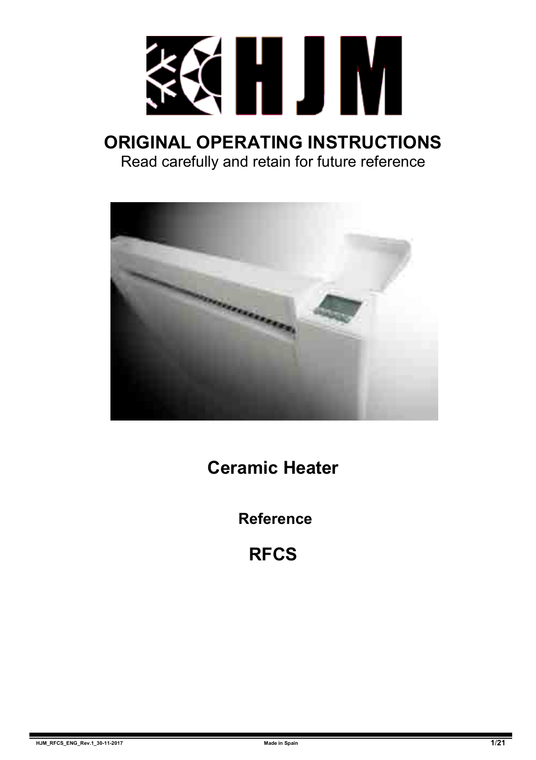

## **ORIGINAL OPERATING INSTRUCTIONS** Read carefully and retain for future reference



**Ceramic Heater**

**Reference**

**RFCS**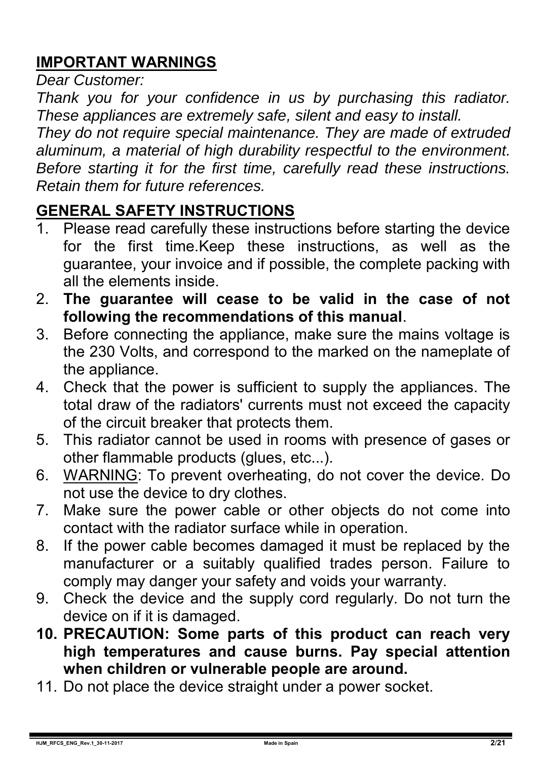## **IMPORTANT WARNINGS**

*Dear Customer:* 

*Thank you for your confidence in us by purchasing this radiator. These appliances are extremely safe, silent and easy to install.* 

*They do not require special maintenance. They are made of extruded aluminum, a material of high durability respectful to the environment. Before starting it for the first time, carefully read these instructions. Retain them for future references.* 

## **GENERAL SAFETY INSTRUCTIONS**

- 1. Please read carefully these instructions before starting the device for the first time.Keep these instructions, as well as the guarantee, your invoice and if possible, the complete packing with all the elements inside.
- 2. **The guarantee will cease to be valid in the case of not following the recommendations of this manual**.
- 3. Before connecting the appliance, make sure the mains voltage is the 230 Volts, and correspond to the marked on the nameplate of the appliance.
- 4. Check that the power is sufficient to supply the appliances. The total draw of the radiators' currents must not exceed the capacity of the circuit breaker that protects them.
- 5. This radiator cannot be used in rooms with presence of gases or other flammable products (glues, etc...).
- 6. WARNING: To prevent overheating, do not cover the device. Do not use the device to dry clothes.
- 7. Make sure the power cable or other objects do not come into contact with the radiator surface while in operation.
- 8. If the power cable becomes damaged it must be replaced by the manufacturer or a suitably qualified trades person. Failure to comply may danger your safety and voids your warranty.
- 9. Check the device and the supply cord regularly. Do not turn the device on if it is damaged.
- **10. PRECAUTION: Some parts of this product can reach very high temperatures and cause burns. Pay special attention when children or vulnerable people are around.**
- 11. Do not place the device straight under a power socket.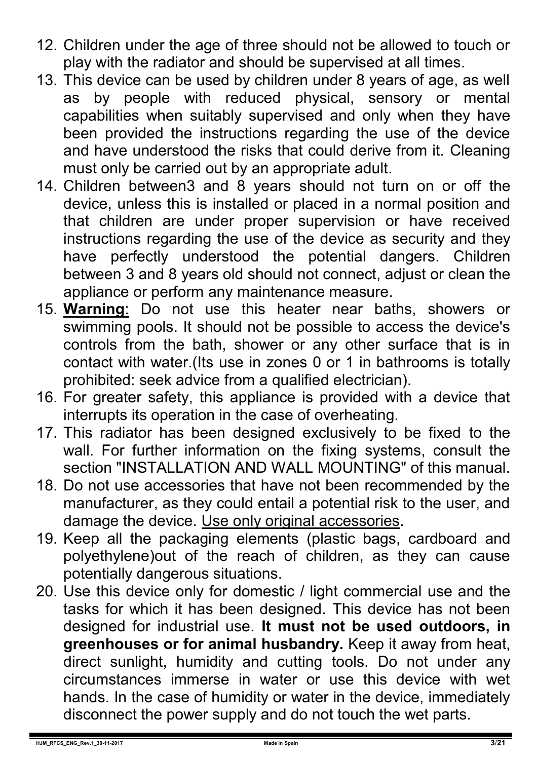- 12. Children under the age of three should not be allowed to touch or play with the radiator and should be supervised at all times.
- 13. This device can be used by children under 8 years of age, as well as by people with reduced physical, sensory or mental capabilities when suitably supervised and only when they have been provided the instructions regarding the use of the device and have understood the risks that could derive from it. Cleaning must only be carried out by an appropriate adult.
- 14. Children between3 and 8 years should not turn on or off the device, unless this is installed or placed in a normal position and that children are under proper supervision or have received instructions regarding the use of the device as security and they have perfectly understood the potential dangers. Children between 3 and 8 years old should not connect, adjust or clean the appliance or perform any maintenance measure.
- 15. **Warning**: Do not use this heater near baths, showers or swimming pools. It should not be possible to access the device's controls from the bath, shower or any other surface that is in contact with water.(Its use in zones 0 or 1 in bathrooms is totally prohibited: seek advice from a qualified electrician).
- 16. For greater safety, this appliance is provided with a device that interrupts its operation in the case of overheating.
- 17. This radiator has been designed exclusively to be fixed to the wall. For further information on the fixing systems, consult the section "INSTALLATION AND WALL MOUNTING" of this manual.
- 18. Do not use accessories that have not been recommended by the manufacturer, as they could entail a potential risk to the user, and damage the device. Use only original accessories.
- 19. Keep all the packaging elements (plastic bags, cardboard and polyethylene)out of the reach of children, as they can cause potentially dangerous situations.
- 20. Use this device only for domestic / light commercial use and the tasks for which it has been designed. This device has not been designed for industrial use. **It must not be used outdoors, in greenhouses or for animal husbandry.** Keep it away from heat, direct sunlight, humidity and cutting tools. Do not under any circumstances immerse in water or use this device with wet hands. In the case of humidity or water in the device, immediately disconnect the power supply and do not touch the wet parts.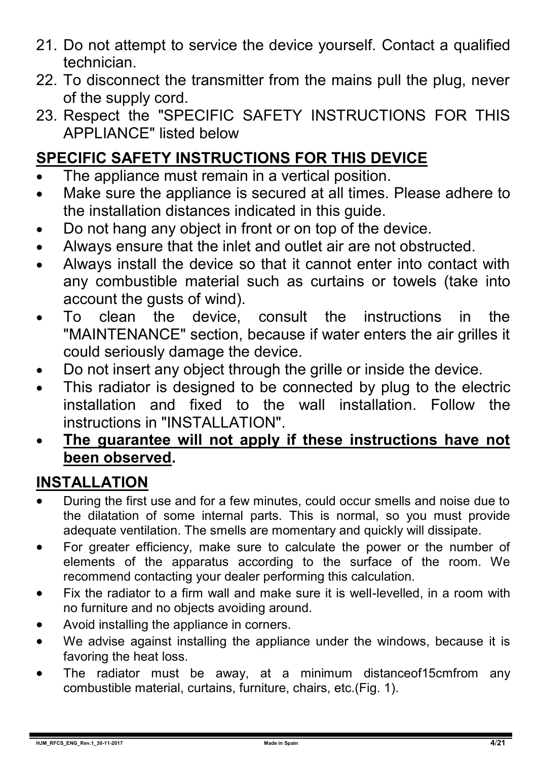- 21. Do not attempt to service the device yourself. Contact a qualified technician.
- 22. To disconnect the transmitter from the mains pull the plug, never of the supply cord.
- 23. Respect the "SPECIFIC SAFETY INSTRUCTIONS FOR THIS APPLIANCE" listed below

## **SPECIFIC SAFETY INSTRUCTIONS FOR THIS DEVICE**

- The appliance must remain in a vertical position.
- Make sure the appliance is secured at all times. Please adhere to the installation distances indicated in this guide.
- Do not hang any object in front or on top of the device.
- Always ensure that the inlet and outlet air are not obstructed.
- Always install the device so that it cannot enter into contact with any combustible material such as curtains or towels (take into account the gusts of wind).
- To clean the device, consult the instructions in the "MAINTENANCE" section, because if water enters the air grilles it could seriously damage the device.
- Do not insert any object through the grille or inside the device.
- This radiator is designed to be connected by plug to the electric installation and fixed to the wall installation. Follow the instructions in "INSTALLATION".
- **The guarantee will not apply if these instructions have not been observed.**

## **INSTALLATION**

- During the first use and for a few minutes, could occur smells and noise due to the dilatation of some internal parts. This is normal, so you must provide adequate ventilation. The smells are momentary and quickly will dissipate.
- For greater efficiency, make sure to calculate the power or the number of elements of the apparatus according to the surface of the room. We recommend contacting your dealer performing this calculation.
- Fix the radiator to a firm wall and make sure it is well-levelled, in a room with no furniture and no objects avoiding around.
- Avoid installing the appliance in corners.
- We advise against installing the appliance under the windows, because it is favoring the heat loss.
- The radiator must be away, at a minimum distanceof15cmfrom any combustible material, curtains, furniture, chairs, etc.(Fig. 1).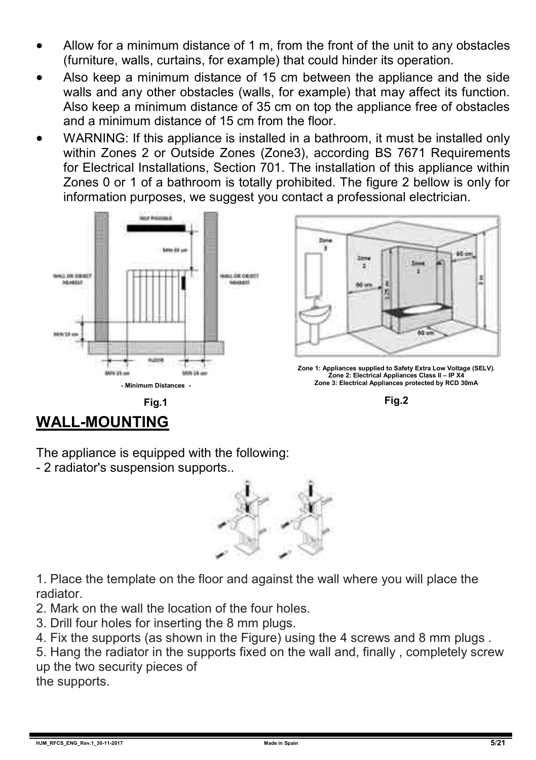- Allow for a minimum distance of 1 m, from the front of the unit to any obstacles (furniture, walls, curtains, for example) that could hinder its operation.
- Also keep a minimum distance of 15 cm between the appliance and the side walls and any other obstacles (walls, for example) that may affect its function. Also keep a minimum distance of 35 cm on top the appliance free of obstacles and a minimum distance of 15 cm from the floor.
- WARNING: If this appliance is installed in a bathroom, it must be installed only within Zones 2 or Outside Zones (Zone3), according BS 7671 Requirements for Electrical Installations, Section 701. The installation of this appliance within Zones 0 or 1 of a bathroom is totally prohibited. The figure 2 bellow is only for information purposes, we suggest you contact a professional electrician.





**Fig.2**

# **WALL-MOUNTING**

The appliance is equipped with the following:

- 2 radiator's suspension supports..



1. Place the template on the floor and against the wall where you will place the radiator.

- 2. Mark on the wall the location of the four holes.
- 3. Drill four holes for inserting the 8 mm plugs.

4. Fix the supports (as shown in the Figure) using the 4 screws and 8 mm plugs .

5. Hang the radiator in the supports fixed on the wall and, finally , completely screw up the two security pieces of

the supports.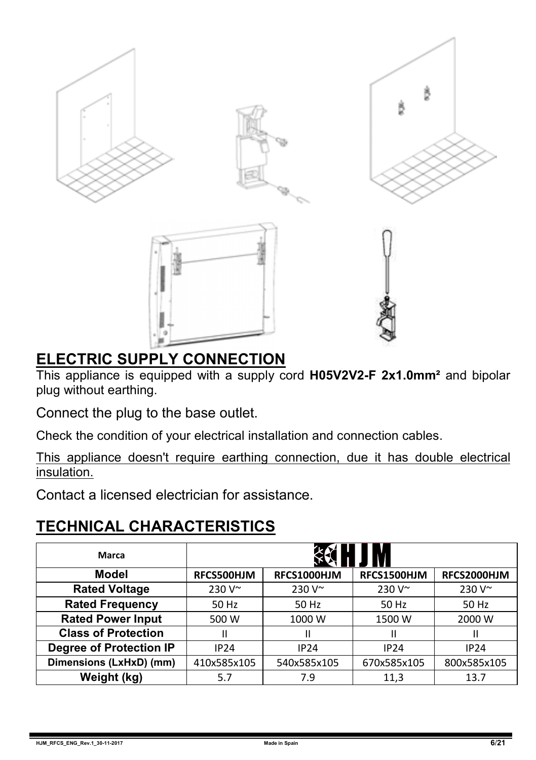

## **ELECTRIC SUPPLY CONNECTION**

This appliance is equipped with a supply cord **H05V2V2-F 2x1.0mm²** and bipolar plug without earthing.

Connect the plug to the base outlet.

Check the condition of your electrical installation and connection cables.

This appliance doesn't require earthing connection, due it has double electrical insulation.

Contact a licensed electrician for assistance.

## **TECHNICAL CHARACTERISTICS**

| Marca                      |               |               |               |               |
|----------------------------|---------------|---------------|---------------|---------------|
| Model                      | RFCS500HJM    | RFCS1000HJM   | RFCS1500HJM   | RFCS2000HJM   |
| <b>Rated Voltage</b>       | $230V^{\sim}$ | $230V^{\sim}$ | $230V^{\sim}$ | $230V^{\sim}$ |
| <b>Rated Frequency</b>     | 50 Hz         | 50 Hz         | 50 Hz         | 50 Hz         |
| <b>Rated Power Input</b>   | 500 W         | 1000 W        | 1500 W        | 2000 W        |
| <b>Class of Protection</b> |               | Ш             | Ш             | Ш             |
| Degree of Protection IP    | IP24          | IP24          | IP24          | <b>IP24</b>   |
| Dimensions (LxHxD) (mm)    | 410x585x105   | 540x585x105   | 670x585x105   | 800x585x105   |
| Weight (kg)                | 5.7           | 7.9           | 11,3          | 13.7          |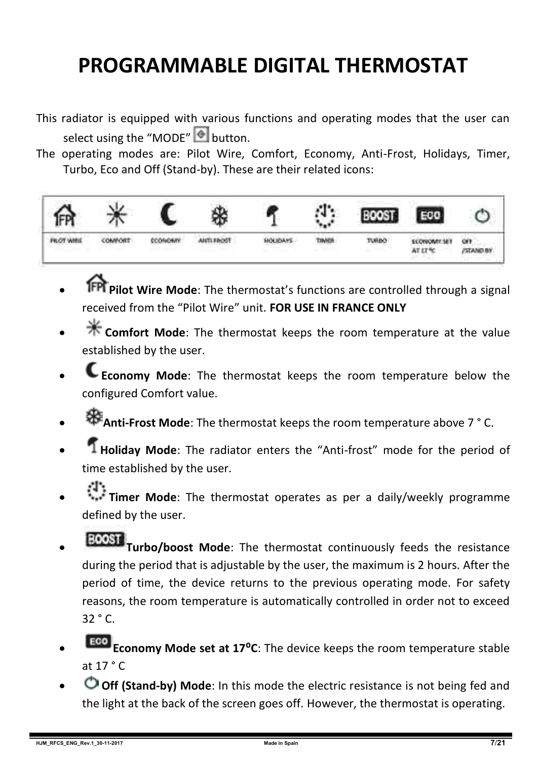# **PROGRAMMABLE DIGITAL THERMOSTAT**

- This radiator is equipped with various functions and operating modes that the user can select using the "MODE"  $\bullet$  button.
- The operating modes are: Pilot Wire, Comfort, Economy, Anti-Frost, Holidays, Timer, Turbo, Eco and Off (Stand-by). These are their related icons:



- **Pilot Wire Mode**: The thermostat's functions are controlled through a signal received from the "Pilot Wire" unit. **FOR USE IN FRANCE ONLY**
- **Comfort Mode**: The thermostat keeps the room temperature at the value established by the user.
- **Economy Mode**: The thermostat keeps the room temperature below the configured Comfort value.
- **Anti-Frost Mode**: The thermostat keeps the room temperature above 7 ° C.
- **Holiday Mode**: The radiator enters the "Anti-frost" mode for the period of time established by the user.
- **Timer Mode**: The thermostat operates as per a daily/weekly programme defined by the user.
- **TOOST** Turbo/boost Mode: The thermostat continuously feeds the resistance during the period that is adjustable by the user, the maximum is 2 hours. After the period of time, the device returns to the previous operating mode. For safety reasons, the room temperature is automatically controlled in order not to exceed 32 ° C.
- **Eco Economy Mode set at 17°C**: The device keeps the room temperature stable at  $17 °C$
- **Off (Stand-by) Mode**: In this mode the electric resistance is not being fed and the light at the back of the screen goes off. However, the thermostat is operating.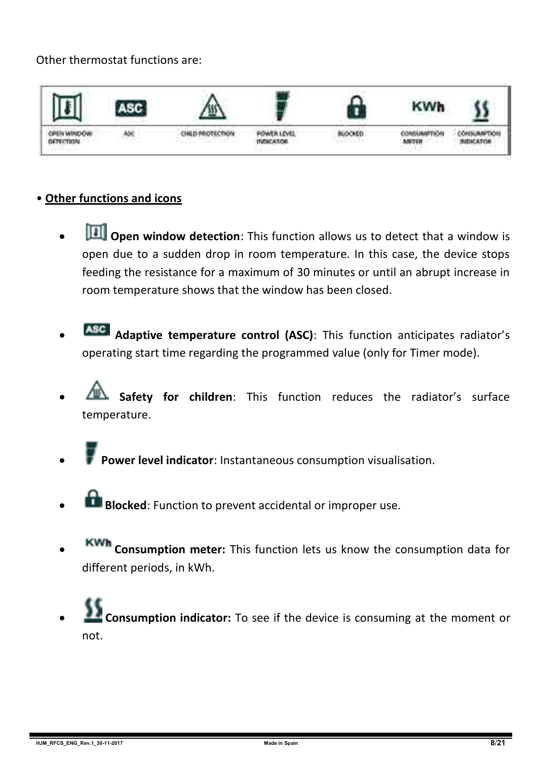#### Other thermostat functions are:



#### • **Other functions and icons**

- **D** Open window detection: This function allows us to detect that a window is open due to a sudden drop in room temperature. In this case, the device stops feeding the resistance for a maximum of 30 minutes or until an abrupt increase in room temperature shows that the window has been closed.
- **Adaptive temperature control (ASC)**: This function anticipates radiator's operating start time regarding the programmed value (only for Timer mode).
- **Safety for children**: This function reduces the radiator's surface temperature.
- **Power level indicator**: Instantaneous consumption visualisation.
- **Blocked:** Function to prevent accidental or improper use.
- **Consumption meter:** This function lets us know the consumption data for different periods, in kWh.
- **Consumption indicator:** To see if the device is consuming at the moment or not.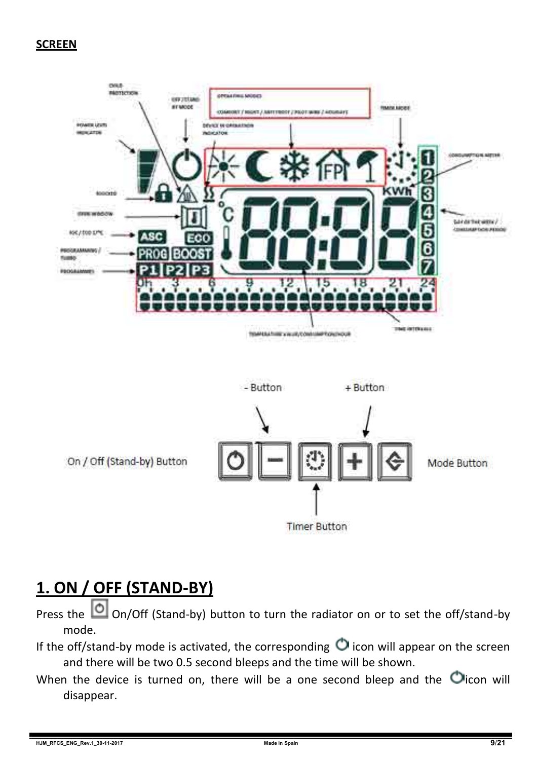#### **SCREEN**



**Timer Button** 

## **1. ON / OFF (STAND-BY)**

Press the  $\Box$  On/Off (Stand-by) button to turn the radiator on or to set the off/stand-by mode.

- If the off/stand-by mode is activated, the corresponding  $\bigcirc$  icon will appear on the screen and there will be two 0.5 second bleeps and the time will be shown.
- When the device is turned on, there will be a one second bleep and the  $\bigcirc$  icon will disappear.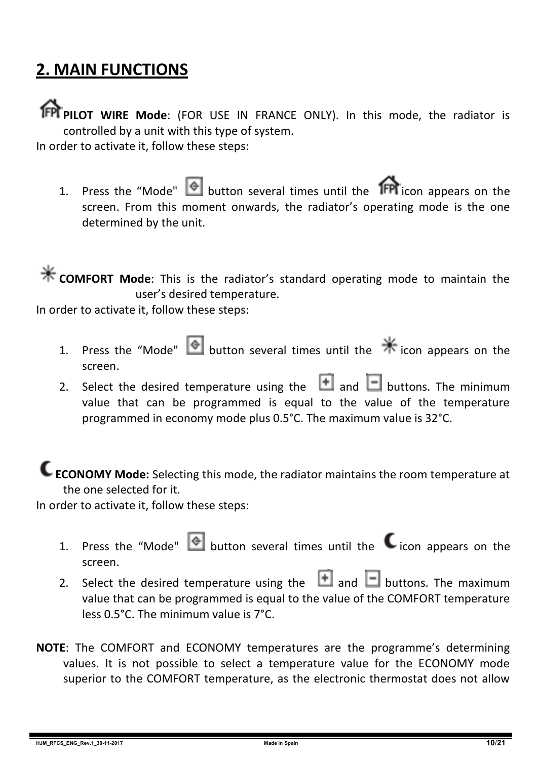## **2. MAIN FUNCTIONS**

**PPI PILOT WIRE Mode:** (FOR USE IN FRANCE ONLY). In this mode, the radiator is controlled by a unit with this type of system.

In order to activate it, follow these steps:

1. Press the "Mode"  $\bullet$  button several times until the **IFPI** icon appears on the screen. From this moment onwards, the radiator's operating mode is the one determined by the unit.

**K** COMFORT Mode: This is the radiator's standard operating mode to maintain the user's desired temperature.

In order to activate it, follow these steps:

- 1. Press the "Mode" **button several times until the**  $*$  **icon appears on the** screen.
- 2. Select the desired temperature using the  $\Box$  and  $\Box$  buttons. The minimum value that can be programmed is equal to the value of the temperature programmed in economy mode plus 0.5°C. The maximum value is 32°C.

**ECONOMY Mode:** Selecting this mode, the radiator maintains the room temperature at the one selected for it.

In order to activate it, follow these steps:

- 1. Press the "Mode"  $\bigcirc$  button several times until the  $\bigcirc$  icon appears on the screen.
- 2. Select the desired temperature using the  $\Box$  and  $\Box$  buttons. The maximum value that can be programmed is equal to the value of the COMFORT temperature less 0.5°C. The minimum value is 7°C.
- **NOTE**: The COMFORT and ECONOMY temperatures are the programme's determining values. It is not possible to select a temperature value for the ECONOMY mode superior to the COMFORT temperature, as the electronic thermostat does not allow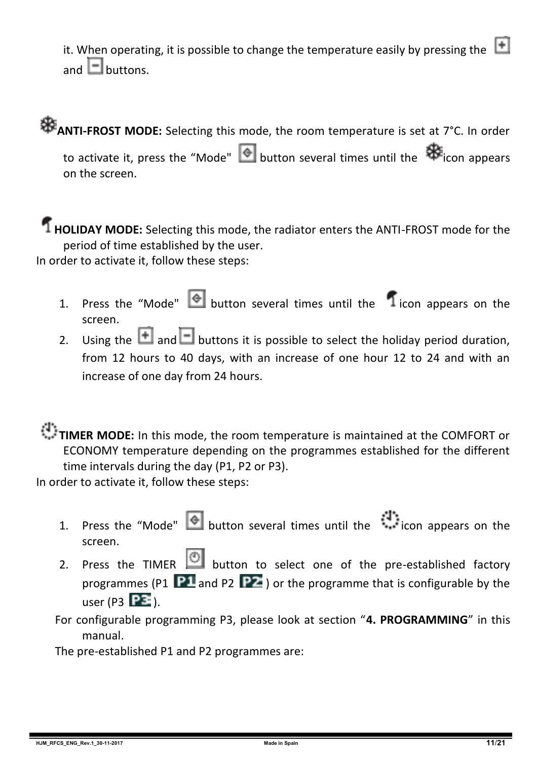it. When operating, it is possible to change the temperature easily by pressing the  $\Box$ and  $\Box$  buttons.

# **ANTI-FROST MODE:** Selecting this mode, the room temperature is set at 7°C. In order

to activate it, press the "Mode"  $\bigcirc$  button several times until the  $\bigcirc$  icon appears on the screen.

#### **HOLIDAY MODE:** Selecting this mode, the radiator enters the ANTI-FROST mode for the period of time established by the user.

In order to activate it, follow these steps:

- 1. Press the "Mode"  $\bigcirc$  button several times until the  $\bigcirc$  icon appears on the screen.
- 2. Using the **and B** buttons it is possible to select the holiday period duration, from 12 hours to 40 days, with an increase of one hour 12 to 24 and with an increase of one day from 24 hours.

#### **TIMER MODE:** In this mode, the room temperature is maintained at the COMFORT or ECONOMY temperature depending on the programmes established for the different time intervals during the day (P1, P2 or P3).

In order to activate it, follow these steps:

- 1. Press the "Mode" button several times until the icon appears on the screen.
	- 2. Press the TIMER  $\bigcirc$  button to select one of the pre-established factory programmes (P1  $\overline{P1}$  and P2  $\overline{P2}$ ) or the programme that is configurable by the user (P3  $\overline{PE}$ ).

For configurable programming P3, please look at section "**4. PROGRAMMING**" in this manual.

The pre-established P1 and P2 programmes are: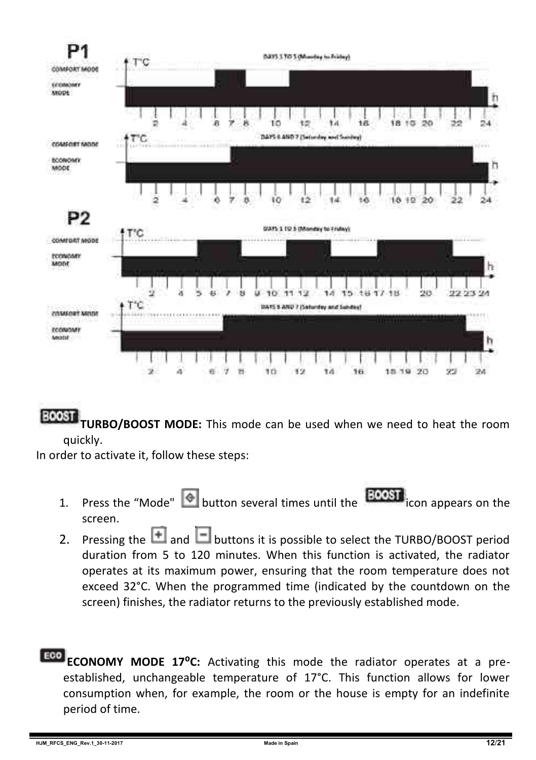

BOOST **TURBO/BOOST MODE:** This mode can be used when we need to heat the room quickly.

In order to activate it, follow these steps:

- 1. Press the "Mode"  $\bigcirc$  button several times until the **BOOST** icon appears on the screen.
- 2. Pressing the  $\Box$  and  $\Box$  buttons it is possible to select the TURBO/BOOST period duration from 5 to 120 minutes. When this function is activated, the radiator operates at its maximum power, ensuring that the room temperature does not exceed 32°C. When the programmed time (indicated by the countdown on the screen) finishes, the radiator returns to the previously established mode.
- **ECONOMY MODE 17°C:** Activating this mode the radiator operates at a preestablished, unchangeable temperature of 17°C. This function allows for lower consumption when, for example, the room or the house is empty for an indefinite period of time.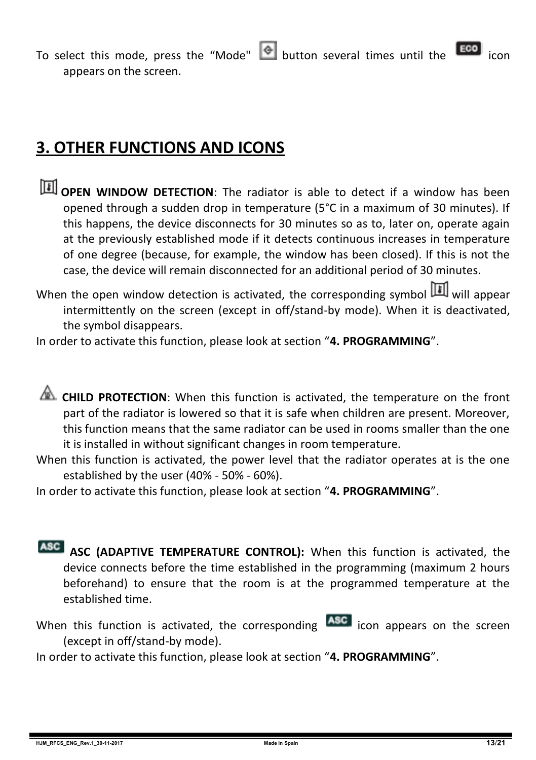To select this mode, press the "Mode"  $\bigcirc$  button several times until the  $\bigcirc$ appears on the screen.

## **3. OTHER FUNCTIONS AND ICONS**

- **TH** OPEN WINDOW DETECTION: The radiator is able to detect if a window has been opened through a sudden drop in temperature (5°C in a maximum of 30 minutes). If this happens, the device disconnects for 30 minutes so as to, later on, operate again at the previously established mode if it detects continuous increases in temperature of one degree (because, for example, the window has been closed). If this is not the case, the device will remain disconnected for an additional period of 30 minutes.
- When the open window detection is activated, the corresponding symbol  $\boxed{1}$  will appear intermittently on the screen (except in off/stand-by mode). When it is deactivated, the symbol disappears.

In order to activate this function, please look at section "**4. PROGRAMMING**".

**CHILD PROTECTION:** When this function is activated, the temperature on the front part of the radiator is lowered so that it is safe when children are present. Moreover, this function means that the same radiator can be used in rooms smaller than the one it is installed in without significant changes in room temperature.

When this function is activated, the power level that the radiator operates at is the one established by the user (40% - 50% - 60%).

In order to activate this function, please look at section "**4. PROGRAMMING**".

- **ASC (ADAPTIVE TEMPERATURE CONTROL):** When this function is activated, the device connects before the time established in the programming (maximum 2 hours beforehand) to ensure that the room is at the programmed temperature at the established time.
- When this function is activated, the corresponding **ASC** icon appears on the screen (except in off/stand-by mode).

In order to activate this function, please look at section "**4. PROGRAMMING**".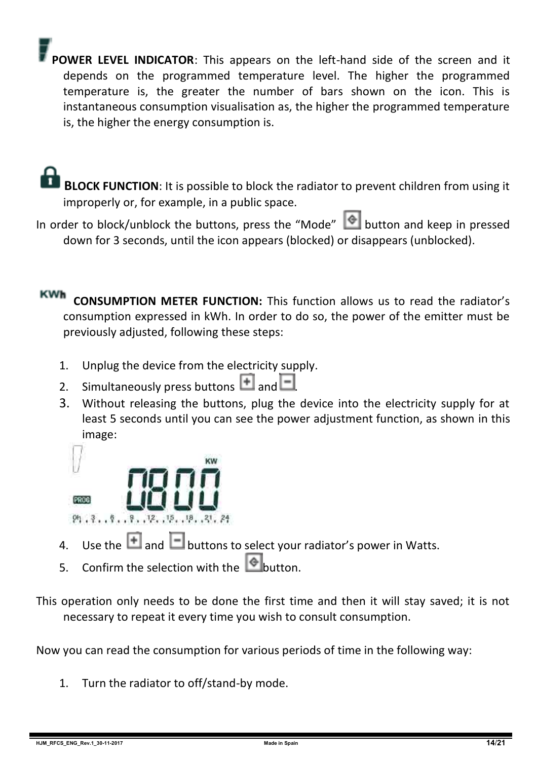**POWER LEVEL INDICATOR**: This appears on the left-hand side of the screen and it depends on the programmed temperature level. The higher the programmed temperature is, the greater the number of bars shown on the icon. This is instantaneous consumption visualisation as, the higher the programmed temperature is, the higher the energy consumption is.

 **BLOCK FUNCTION**: It is possible to block the radiator to prevent children from using it improperly or, for example, in a public space.

In order to block/unblock the buttons, press the "Mode" **Consumersion** and keep in pressed down for 3 seconds, until the icon appears (blocked) or disappears (unblocked).

**KWh CONSUMPTION METER FUNCTION:** This function allows us to read the radiator's consumption expressed in kWh. In order to do so, the power of the emitter must be previously adjusted, following these steps:

- 1. Unplug the device from the electricity supply.
- 2. Simultaneously press buttons  $\overline{+}$  and  $\overline{-}$
- 3. Without releasing the buttons, plug the device into the electricity supply for at least 5 seconds until you can see the power adjustment function, as shown in this image:



- 4. Use the  $\Box$  and  $\Box$  buttons to select your radiator's power in Watts.
- 5. Confirm the selection with the **button**.
- This operation only needs to be done the first time and then it will stay saved; it is not necessary to repeat it every time you wish to consult consumption.

Now you can read the consumption for various periods of time in the following way:

1. Turn the radiator to off/stand-by mode.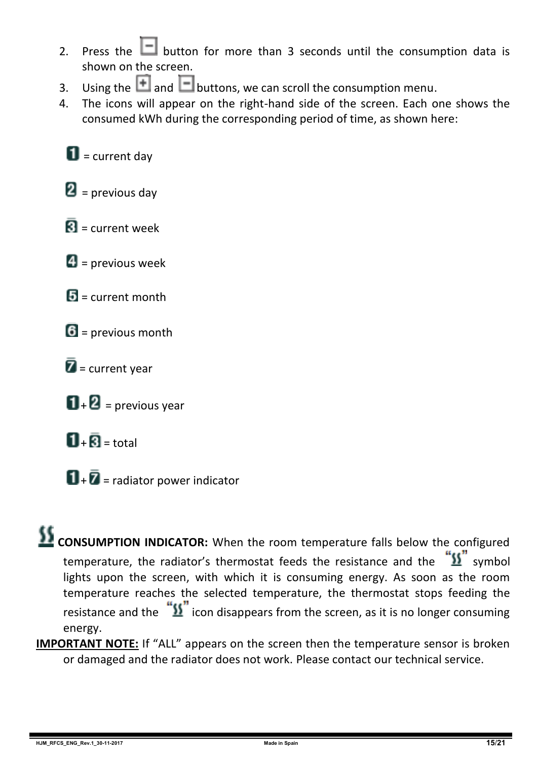- 2. Press the  $\Box$  button for more than 3 seconds until the consumption data is shown on the screen.
- 3. Using the **1** and **b**uttons, we can scroll the consumption menu.<br>4. The icons will annear on the right-hand side of the screen. Each o
- 4. The icons will appear on the right-hand side of the screen. Each one shows the consumed kWh during the corresponding period of time, as shown here:

 $\blacksquare$  = current day

 $\mathbf{2}$  = previous day

- $\overline{\mathbf{R}}$  = current week
- $\blacksquare$  = previous week
- $\mathbf{E}$  = current month
- $6$  = previous month
- $\bar{Z}$  = current year
- $\mathbf{D}$  +  $\mathbf{D}$  = previous year
- $\Pi_+$  $\bar{\mathbf{R}}$  = total
- $\mathbf{u}$  +  $\bar{\mathbf{z}}$  = radiator power indicator

## **CONSUMPTION INDICATOR:** When the room temperature falls below the configured temperature, the radiator's thermostat feeds the resistance and the  $\frac{w_{1}}{w_{2}}$  symbol lights upon the screen, with which it is consuming energy. As soon as the room temperature reaches the selected temperature, the thermostat stops feeding the resistance and the  $\sqrt[12]{\text{}}\,$  icon disappears from the screen, as it is no longer consuming energy.

**IMPORTANT NOTE:** If "ALL" appears on the screen then the temperature sensor is broken or damaged and the radiator does not work. Please contact our technical service.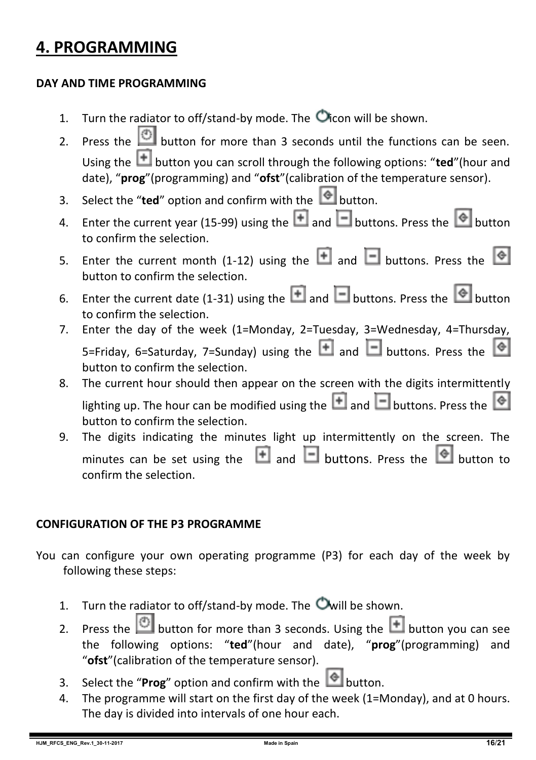## **4. PROGRAMMING**

#### **DAY AND TIME PROGRAMMING**

- 1. Turn the radiator to off/stand-by mode. The  $\bullet$  icon will be shown.
- 2. Press the  $\Box$  button for more than 3 seconds until the functions can be seen. Using the **the button you can scroll through the following options: "ted"**(hour and date), "**prog**"(programming) and "**ofst**"(calibration of the temperature sensor).
- 3. Select the "**ted**" option and confirm with the  $\Box$  button.
- 4. Enter the current year (15-99) using the  $\Box$  and  $\Box$  buttons. Press the  $\degree$  button to confirm the selection.
- 5. Enter the current month (1-12) using the  $\Box$  and  $\Box$  buttons. Press the  $\circ$ button to confirm the selection.
- 6. Enter the current date (1-31) using the  $\Box$  and  $\Box$  buttons. Press the  $\bigcirc$  button to confirm the selection.
- 7. Enter the day of the week (1=Monday, 2=Tuesday, 3=Wednesday, 4=Thursday, 5=Friday, 6=Saturday, 7=Sunday) using the  $\Box$  and  $\Box$  buttons. Press the button to confirm the selection.
- 8. The current hour should then appear on the screen with the digits intermittently lighting up. The hour can be modified using the  $\Box$  and  $\Box$  buttons. Press the  $\Diamond$ button to confirm the selection.
- 9. The digits indicating the minutes light up intermittently on the screen. The minutes can be set using the  $\Box$  and  $\Box$  buttons. Press the  $\Diamond$  button to confirm the selection.

#### **CONFIGURATION OF THE P3 PROGRAMME**

- You can configure your own operating programme (P3) for each day of the week by following these steps:
	- 1. Turn the radiator to off/stand-by mode. The  $\bullet$  will be shown.
	- 2. Press the **button for more than 3 seconds.** Using the **H** button you can see the following options: "**ted**"(hour and date), "**prog**"(programming) and "**ofst**"(calibration of the temperature sensor).
	- 3. Select the "**Prog**" option and confirm with the  $\bullet$  button.
	- 4. The programme will start on the first day of the week (1=Monday), and at 0 hours. The day is divided into intervals of one hour each.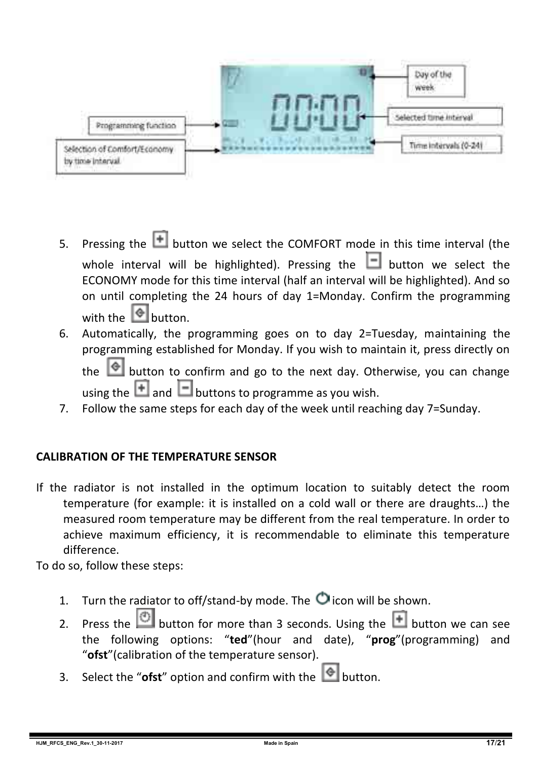

- 5. Pressing the  $\Box$  button we select the COMFORT mode in this time interval (the whole interval will be highlighted). Pressing the  $\Box$  button we select the ECONOMY mode for this time interval (half an interval will be highlighted). And so on until completing the 24 hours of day 1=Monday. Confirm the programming with the  $\Box$  button.
- 6. Automatically, the programming goes on to day 2=Tuesday, maintaining the programming established for Monday. If you wish to maintain it, press directly on the  $\Box$  button to confirm and go to the next day. Otherwise, you can change

using the  $\Box$  and  $\Box$  buttons to programme as you wish.

7. Follow the same steps for each day of the week until reaching day 7=Sunday.

#### **CALIBRATION OF THE TEMPERATURE SENSOR**

If the radiator is not installed in the optimum location to suitably detect the room temperature (for example: it is installed on a cold wall or there are draughts…) the measured room temperature may be different from the real temperature. In order to achieve maximum efficiency, it is recommendable to eliminate this temperature difference.

To do so, follow these steps:

- 1. Turn the radiator to off/stand-by mode. The  $\bullet$  icon will be shown.
- 2. Press the  $\Box$  button for more than 3 seconds. Using the  $\Box$  button we can see the following options: "**ted**"(hour and date), "**prog**"(programming) and "**ofst**"(calibration of the temperature sensor).
- 3. Select the "**ofst**" option and confirm with the  $\Box$  button.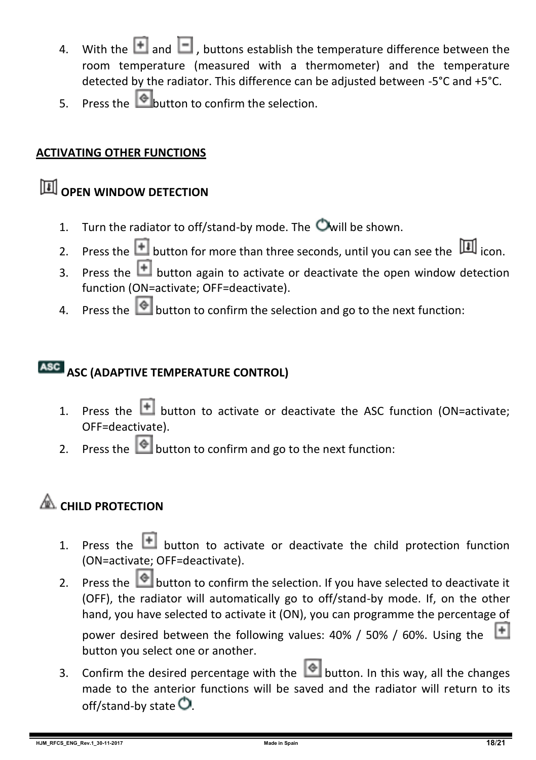- 4. With the  $\blacksquare$  and  $\blacksquare$  , buttons establish the temperature difference between the room temperature (measured with a thermometer) and the temperature detected by the radiator. This difference can be adjusted between -5°C and +5°C.
- $\frac{1}{5}$  Press the **button** to confirm the selection.

#### **ACTIVATING OTHER FUNCTIONS**

## **OPEN WINDOW DETECTION**

- 1. Turn the radiator to off/stand-by mode. The  $\bullet$  will be shown.
- 2. Press the **button for more than three seconds, until you can see the** icon.
- 3. Press the  $\Box$  button again to activate or deactivate the open window detection function (ON=activate; OFF=deactivate).
- 4. Press the **button to confirm the selection and go to the next function:**

### **ASC (ADAPTIVE TEMPERATURE CONTROL)**

- 1. Press the  $\Box$  button to activate or deactivate the ASC function (ON=activate: OFF=deactivate).
- 2. Press the  $\Box$  button to confirm and go to the next function:

## **EXAMPLE PROTECTION**

- 1. Press the  $\Box$  button to activate or deactivate the child protection function (ON=activate; OFF=deactivate).
- 2. Press the  $\bigcirc$  button to confirm the selection. If you have selected to deactivate it (OFF), the radiator will automatically go to off/stand-by mode. If, on the other hand, you have selected to activate it (ON), you can programme the percentage of

power desired between the following values: 40% / 50% / 60%. Using the button you select one or another.

3. Confirm the desired percentage with the **button.** In this way, all the changes made to the anterior functions will be saved and the radiator will return to its off/stand-by state  $\bullet$ .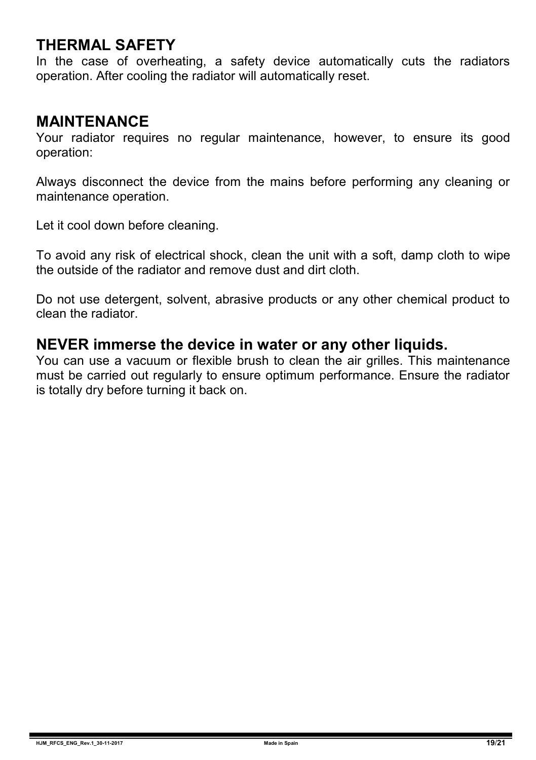### **THERMAL SAFETY**

In the case of overheating, a safety device automatically cuts the radiators operation. After cooling the radiator will automatically reset.

#### **MAINTENANCE**

Your radiator requires no regular maintenance, however, to ensure its good operation:

Always disconnect the device from the mains before performing any cleaning or maintenance operation.

Let it cool down before cleaning.

To avoid any risk of electrical shock, clean the unit with a soft, damp cloth to wipe the outside of the radiator and remove dust and dirt cloth.

Do not use detergent, solvent, abrasive products or any other chemical product to clean the radiator.

#### **NEVER immerse the device in water or any other liquids.**

You can use a vacuum or flexible brush to clean the air grilles. This maintenance must be carried out regularly to ensure optimum performance. Ensure the radiator is totally dry before turning it back on.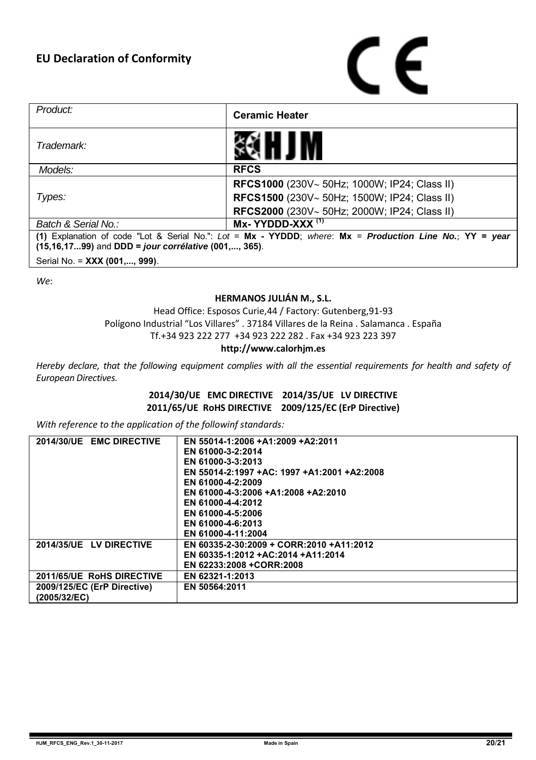

| Product:                                                                                                 | <b>Ceramic Heater</b>                               |  |
|----------------------------------------------------------------------------------------------------------|-----------------------------------------------------|--|
| Trademark:                                                                                               |                                                     |  |
| Models:                                                                                                  | <b>RFCS</b>                                         |  |
|                                                                                                          | <b>RFCS1000</b> (230V~ 50Hz; 1000W; IP24; Class II) |  |
| Types:                                                                                                   | RFCS1500 (230V~ 50Hz; 1500W; IP24; Class II)        |  |
|                                                                                                          | <b>RFCS2000</b> (230V~50Hz; 2000W; IP24; Class II)  |  |
| Batch & Serial No.:                                                                                      | Mx-YYDDD-XXX <sup>(1)</sup>                         |  |
| (1) Explanation of code "Lot & Serial No.": Lot = Mx - YYDDD; where: Mx = Production Line No.; YY = year |                                                     |  |
| (15,16,1799) and DDD = jour corrélative (001,, 365).                                                     |                                                     |  |
| Serial No. = XXX (001,, 999).                                                                            |                                                     |  |

*We*:

#### **HERMANOS JULIÁN M., S.L.**

Head Office: Esposos Curie,44 / Factory: Gutenberg,91-93 Polígono Industrial "Los Villares" . 37184 Villares de la Reina . Salamanca . España Tf.+34 923 222 277 +34 923 222 282 . Fax +34 923 223 397

#### **http://www.calorhjm.es**

Hereby declare, that the following equipment complies with all the essential requirements for health and safety of *European Directives.*

> **2014/30/UE EMC DIRECTIVE 2014/35/UE LV DIRECTIVE 2011/65/UE RoHS DIRECTIVE 2009/125/EC (ErP Directive)**

*With reference to the application of the followinf standards:*

| 2014/30/UE EMC DIRECTIVE    | EN 55014-1:2006 +A1:2009 +A2:2011           |
|-----------------------------|---------------------------------------------|
|                             | EN 61000-3-2:2014                           |
|                             | EN 61000-3-3:2013                           |
|                             | EN 55014-2:1997 +AC: 1997 +A1:2001 +A2:2008 |
|                             | EN 61000-4-2:2009                           |
|                             | EN 61000-4-3:2006 +A1:2008 +A2:2010         |
|                             | EN 61000-4-4:2012                           |
|                             | EN 61000-4-5:2006                           |
|                             | EN 61000-4-6:2013                           |
|                             | EN 61000-4-11:2004                          |
| 2014/35/UE LV DIRECTIVE     | EN 60335-2-30:2009 + CORR:2010 +A11:2012    |
|                             | EN 60335-1:2012 +AC:2014 +A11:2014          |
|                             | EN 62233:2008 +CORR:2008                    |
| 2011/65/UE RoHS DIRECTIVE   | EN 62321-1:2013                             |
| 2009/125/EC (ErP Directive) | EN 50564:2011                               |
| (2005/32/EC)                |                                             |